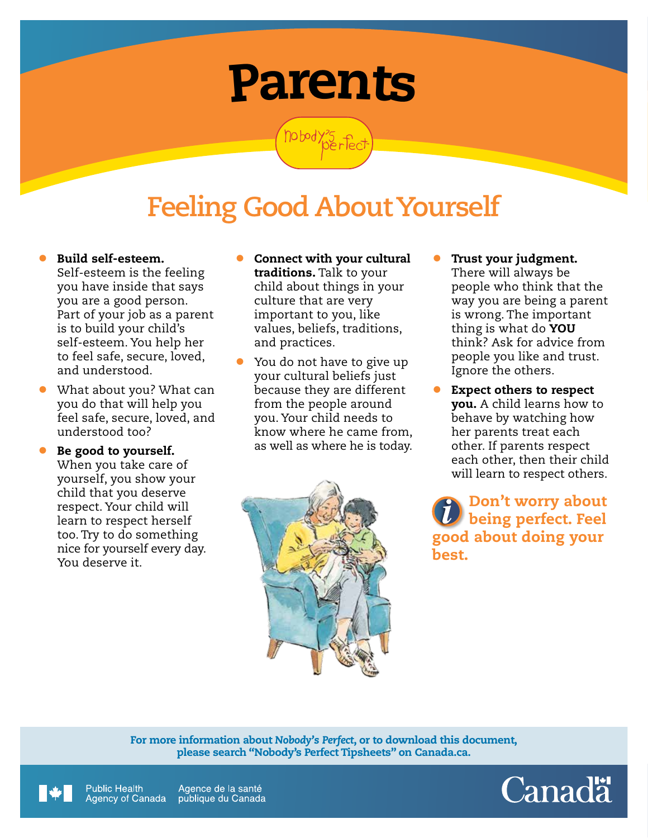# Parents

nobody?5 fec

## **Feeling Good About Yourself**

- Build self-esteem. Self‑esteem is the feeling you have inside that says you are a good person. Part of your job as a parent is to build your child's self-esteem. You help her to feel safe, secure, loved, and understood.
- What about you? What can you do that will help you feel safe, secure, loved, and understood too?
- Be good to yourself. When you take care of yourself, you show your child that you deserve respect. Your child will learn to respect herself too. Try to do something nice for yourself every day. You deserve it.
- Connect with your cultural traditions. Talk to your child about things in your culture that are very important to you, like values, beliefs, traditions, and practices.
- You do not have to give up your cultural beliefs just because they are different from the people around you. Your child needs to know where he came from, as well as where he is today.



- Trust your judgment. There will always be people who think that the way you are being a parent is wrong. The important thing is what do **YOU** think? Ask for advice from people you like and trust. Ignore the others.
- Expect others to respect you. A child learns how to behave by watching how her parents treat each other. If parents respect each other, then their child will learn to respect others.

Don't worry about being perfect. Feel good about doing your best.

For more information about *Nobody's Perfect*, or to download this document, please search "Nobody's Perfect Tipsheets" on Canada.ca.



**Public Health** Agence de la santé Agency of Canada publique du Canada